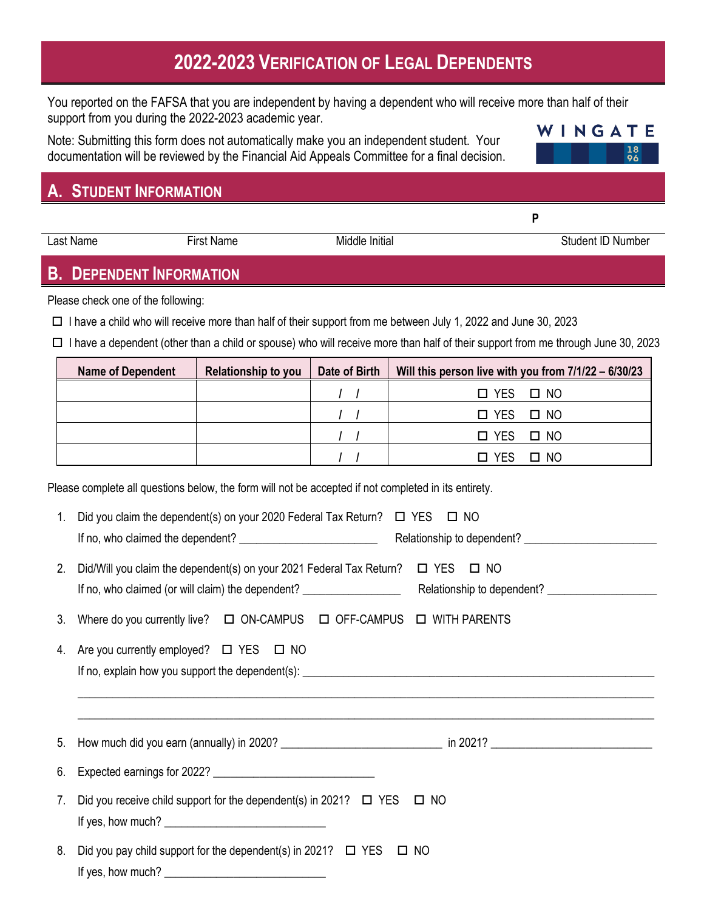# **2022-2023 VERIFICATION OF LEGAL DEPENDENTS**

You reported on the FAFSA that you are independent by having a dependent who will receive more than half of their support from you during the 2022-2023 academic year.

Note: Submitting this form does not automatically make you an independent student. Your documentation will be reviewed by the Financial Aid Appeals Committee for a final decision.

## **A. STUDENT INFORMATION**

**B. DEPENDENT INFORMATION**

Please check one of the following:

 $\Box$  I have a child who will receive more than half of their support from me between July 1, 2022 and June 30, 2023

 $\Box$  I have a dependent (other than a child or spouse) who will receive more than half of their support from me through June 30, 2023

| <b>Name of Dependent</b> | <b>Relationship to you</b> | Date of Birth | Will this person live with you from 7/1/22 - 6/30/23 |
|--------------------------|----------------------------|---------------|------------------------------------------------------|
|                          |                            |               | $\Box$ YES $\Box$ NO                                 |
|                          |                            |               | $\Box$ YES $\Box$ NO                                 |
|                          |                            |               | $\Box$ YES $\Box$ NO                                 |
|                          |                            |               | $\Box$ YES $\Box$ NO                                 |

Please complete all questions below, the form will not be accepted if not completed in its entirety.

| 1. | Did you claim the dependent(s) on your 2020 Federal Tax Return? $\Box$ YES $\Box$ NO                                                                                                                                                                                                                                                                                          |  |  |  |  |
|----|-------------------------------------------------------------------------------------------------------------------------------------------------------------------------------------------------------------------------------------------------------------------------------------------------------------------------------------------------------------------------------|--|--|--|--|
|    | 2. Did/Will you claim the dependent(s) on your 2021 Federal Tax Return? $\Box$ YES $\Box$ NO                                                                                                                                                                                                                                                                                  |  |  |  |  |
| 3. | Where do you currently live? $\Box$ ON-CAMPUS $\Box$ OFF-CAMPUS $\Box$ WITH PARENTS                                                                                                                                                                                                                                                                                           |  |  |  |  |
|    | 4. Are you currently employed? $\Box$ YES $\Box$ NO<br>,我们也不能在这里的时候,我们也不能在这里的时候,我们也不能不能不能不能不能不能不能不能不能不能不能不能不能不能不能。""我们不能不能不能不能不能不能不能不能不能                                                                                                                                                                                                                                      |  |  |  |  |
|    |                                                                                                                                                                                                                                                                                                                                                                               |  |  |  |  |
| 6. |                                                                                                                                                                                                                                                                                                                                                                               |  |  |  |  |
|    | 7. Did you receive child support for the dependent(s) in 2021? $\Box$ YES $\Box$ NO<br>If yes, how much? $\frac{1}{2}$ [10] $\frac{1}{2}$ [10] $\frac{1}{2}$ [10] $\frac{1}{2}$ [10] $\frac{1}{2}$ [10] $\frac{1}{2}$ [10] $\frac{1}{2}$ [10] $\frac{1}{2}$ [10] $\frac{1}{2}$ [10] $\frac{1}{2}$ [10] $\frac{1}{2}$ [10] $\frac{1}{2}$ [10] $\frac{1}{2}$ [10] $\frac{1}{2}$ |  |  |  |  |
|    | 8. Did you pay child support for the dependent(s) in 2021? □ YES □ NO                                                                                                                                                                                                                                                                                                         |  |  |  |  |

If yes, how much?



Last Name First Name First Name Middle Initial Control of Student ID Number

**P**